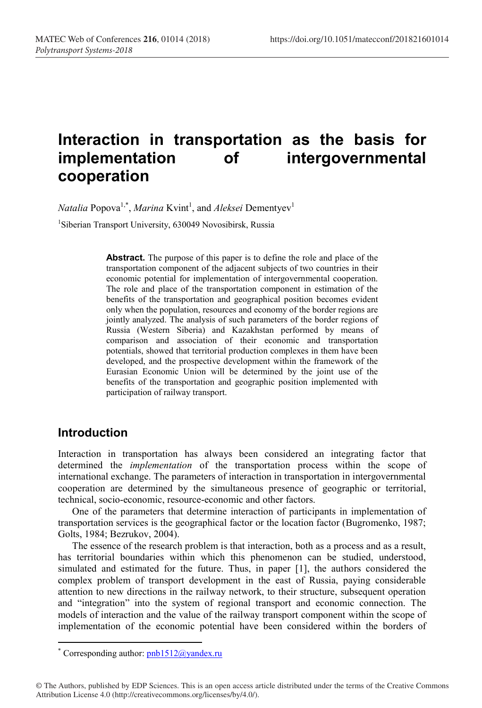# **Interaction in transportation as the basis for**  of intergovernmental **cooperation**

*Natalia* Popova<sup>1,\*</sup>, *Marina* Kvint<sup>1</sup>, and *Aleksei* Dementyev<sup>1</sup>

<sup>1</sup>Siberian Transport University, 630049 Novosibirsk, Russia

**Abstract.** The purpose of this paper is to define the role and place of the transportation component of the adjacent subjects of two countries in their economic potential for implementation of intergovernmental cooperation. The role and place of the transportation component in estimation of the benefits of the transportation and geographical position becomes evident only when the population, resources and economy of the border regions are jointly analyzed. The analysis of such parameters of the border regions of Russia (Western Siberia) and Kazakhstan performed by means of comparison and association of their economic and transportation potentials, showed that territorial production complexes in them have been developed, and the prospective development within the framework of the Eurasian Economic Union will be determined by the joint use of the benefits of the transportation and geographic position implemented with participation of railway transport.

#### **Introduction**

Interaction in transportation has always been considered an integrating factor that determined the *implementation* of the transportation process within the scope of international exchange. The parameters of interaction in transportation in intergovernmental cooperation are determined by the simultaneous presence of geographic or territorial, technical, socio-economic, resource-economic and other factors.

One of the parameters that determine interaction of participants in implementation of transportation services is the geographical factor or the location factor (Bugromenko, 1987; Golts, 1984; Bezrukov, 2004).

The essence of the research problem is that interaction, both as a process and as a result, has territorial boundaries within which this phenomenon can be studied, understood, simulated and estimated for the future. Thus, in paper [1], the authors considered the complex problem of transport development in the east of Russia, paying considerable attention to new directions in the railway network, to their structure, subsequent operation and "integration" into the system of regional transport and economic connection. The models of interaction and the value of the railway transport component within the scope of implementation of the economic potential have been considered within the borders of

<sup>\*</sup> Corresponding author:  $pnb1512@yandex.ru$ 

<sup>©</sup> The Authors, published by EDP Sciences. This is an open access article distributed under the terms of the Creative Commons Attribution License 4.0 (http://creativecommons.org/licenses/by/4.0/).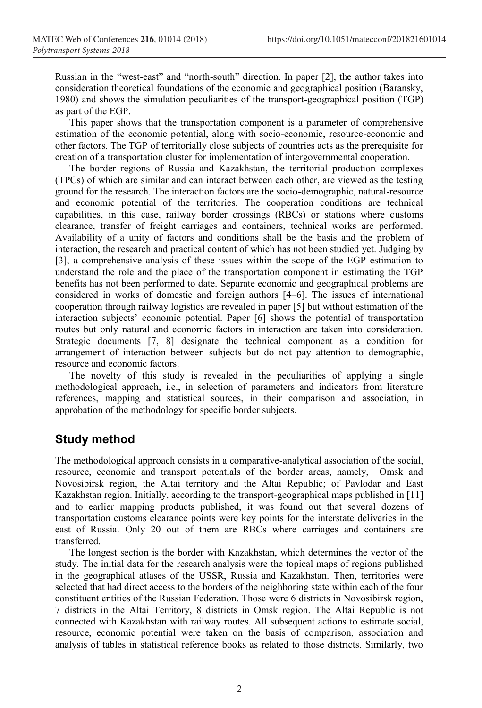Russian in the "west-east" and "north-south" direction. In paper [2], the author takes into consideration theoretical foundations of the economic and geographical position (Baransky, 1980) and shows the simulation peculiarities of the transport-geographical position (TGP) as part of the EGP.

This paper shows that the transportation component is a parameter of comprehensive estimation of the economic potential, along with socio-economic, resource-economic and other factors. The TGP of territorially close subjects of countries acts as the prerequisite for creation of a transportation cluster for implementation of intergovernmental cooperation.

The border regions of Russia and Kazakhstan, the territorial production complexes (TPCs) of which are similar and can interact between each other, are viewed as the testing ground for the research. The interaction factors are the socio-demographic, natural-resource and economic potential of the territories. The cooperation conditions are technical capabilities, in this case, railway border crossings (RBCs) or stations where customs clearance, transfer of freight carriages and containers, technical works are performed. Availability of a unity of factors and conditions shall be the basis and the problem of interaction, the research and practical content of which has not been studied yet. Judging by [3], a comprehensive analysis of these issues within the scope of the EGP estimation to understand the role and the place of the transportation component in estimating the TGP benefits has not been performed to date. Separate economic and geographical problems are considered in works of domestic and foreign authors [4–6]. The issues of international cooperation through railway logistics are revealed in paper [5] but without estimation of the interaction subjects' economic potential. Paper [6] shows the potential of transportation routes but only natural and economic factors in interaction are taken into consideration. Strategic documents [7, 8] designate the technical component as a condition for arrangement of interaction between subjects but do not pay attention to demographic, resource and economic factors.

The novelty of this study is revealed in the peculiarities of applying a single methodological approach, i.e., in selection of parameters and indicators from literature references, mapping and statistical sources, in their comparison and association, in approbation of the methodology for specific border subjects.

#### **Study method**

The methodological approach consists in a comparative-analytical association of the social, resource, economic and transport potentials of the border areas, namely, Omsk and Novosibirsk region, the Altai territory and the Altai Republic; of Pavlodar and East Kazakhstan region. Initially, according to the transport-geographical maps published in [11] and to earlier mapping products published, it was found out that several dozens of transportation customs clearance points were key points for the interstate deliveries in the east of Russia. Only 20 out of them are RBCs where carriages and containers are transferred.

The longest section is the border with Kazakhstan, which determines the vector of the study. The initial data for the research analysis were the topical maps of regions published in the geographical atlases of the USSR, Russia and Kazakhstan. Then, territories were selected that had direct access to the borders of the neighboring state within each of the four constituent entities of the Russian Federation. Those were 6 districts in Novosibirsk region, 7 districts in the Altai Territory, 8 districts in Omsk region. The Altai Republic is not connected with Kazakhstan with railway routes. All subsequent actions to estimate social, resource, economic potential were taken on the basis of comparison, association and analysis of tables in statistical reference books as related to those districts. Similarly, two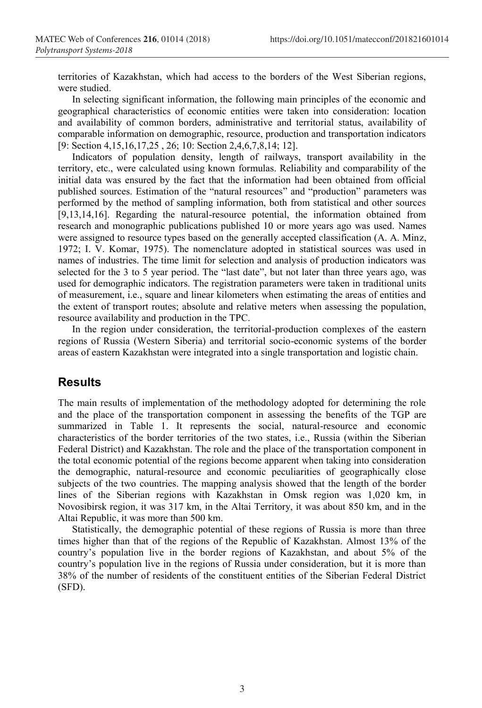territories of Kazakhstan, which had access to the borders of the West Siberian regions, were studied.

In selecting significant information, the following main principles of the economic and geographical characteristics of economic entities were taken into consideration: location and availability of common borders, administrative and territorial status, availability of comparable information on demographic, resource, production and transportation indicators [9: Section 4,15,16,17,25 , 26; 10: Section 2,4,6,7,8,14; 12].

Indicators of population density, length of railways, transport availability in the territory, etc., were calculated using known formulas. Reliability and comparability of the initial data was ensured by the fact that the information had been obtained from official published sources. Estimation of the "natural resources" and "production" parameters was performed by the method of sampling information, both from statistical and other sources [9,13,14,16]. Regarding the natural-resource potential, the information obtained from research and monographic publications published 10 or more years ago was used. Names were assigned to resource types based on the generally accepted classification (A. A. Minz, 1972; I. V. Komar, 1975). The nomenclature adopted in statistical sources was used in names of industries. The time limit for selection and analysis of production indicators was selected for the 3 to 5 year period. The "last date", but not later than three years ago, was used for demographic indicators. The registration parameters were taken in traditional units of measurement, i.e., square and linear kilometers when estimating the areas of entities and the extent of transport routes; absolute and relative meters when assessing the population, resource availability and production in the TPC.

In the region under consideration, the territorial-production complexes of the eastern regions of Russia (Western Siberia) and territorial socio-economic systems of the border areas of eastern Kazakhstan were integrated into a single transportation and logistic chain.

## **Results**

The main results of implementation of the methodology adopted for determining the role and the place of the transportation component in assessing the benefits of the TGP are summarized in Table 1. It represents the social, natural-resource and economic characteristics of the border territories of the two states, i.e., Russia (within the Siberian Federal District) and Kazakhstan. The role and the place of the transportation component in the total economic potential of the regions become apparent when taking into consideration the demographic, natural-resource and economic peculiarities of geographically close subjects of the two countries. The mapping analysis showed that the length of the border lines of the Siberian regions with Kazakhstan in Omsk region was 1,020 km, in Novosibirsk region, it was 317 km, in the Altai Territory, it was about 850 km, and in the Altai Republic, it was more than 500 km.

Statistically, the demographic potential of these regions of Russia is more than three times higher than that of the regions of the Republic of Kazakhstan. Almost 13% of the country's population live in the border regions of Kazakhstan, and about 5% of the country's population live in the regions of Russia under consideration, but it is more than 38% of the number of residents of the constituent entities of the Siberian Federal District (SFD).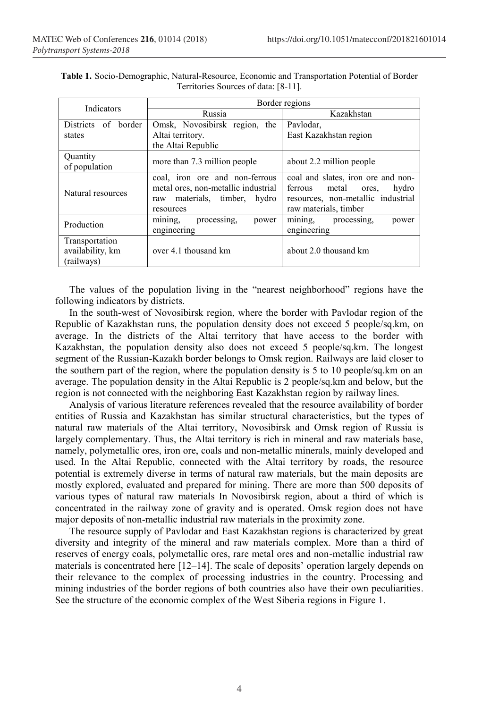| Indicators                                       | Border regions                                                                                                           |                                                                                                                                         |
|--------------------------------------------------|--------------------------------------------------------------------------------------------------------------------------|-----------------------------------------------------------------------------------------------------------------------------------------|
|                                                  | Russia                                                                                                                   | Kazakhstan                                                                                                                              |
| Districts<br>of border<br>states                 | Omsk, Novosibirsk region, the<br>Altai territory.                                                                        | Pavlodar,<br>East Kazakhstan region                                                                                                     |
|                                                  | the Altai Republic                                                                                                       |                                                                                                                                         |
| Quantity<br>of population                        | more than 7.3 million people                                                                                             | about 2.2 million people                                                                                                                |
| Natural resources                                | coal, iron ore and non-ferrous<br>metal ores, non-metallic industrial<br>materials, timber,<br>hydro<br>raw<br>resources | coal and slates, iron ore and non-<br>ferrous<br>hydro<br>metal<br>ores.<br>resources, non-metallic industrial<br>raw materials, timber |
| Production                                       | $mining$ ,<br>processing.<br>power<br>engineering                                                                        | mining, processing,<br>power<br>engineering                                                                                             |
| Transportation<br>availability, km<br>(railways) | over 4.1 thousand km                                                                                                     | about 2.0 thousand km                                                                                                                   |

**Table 1.** Socio-Demographic, Natural-Resource, Economic and Transportation Potential of Border Territories Sources of data: [8-11].

The values of the population living in the "nearest neighborhood" regions have the following indicators by districts.

In the south-west of Novosibirsk region, where the border with Pavlodar region of the Republic of Kazakhstan runs, the population density does not exceed 5 people/sq.km, on average. In the districts of the Altai territory that have access to the border with Kazakhstan, the population density also does not exceed 5 people/sq.km. The longest segment of the Russian-Kazakh border belongs to Omsk region. Railways are laid closer to the southern part of the region, where the population density is 5 to 10 people/sq.km on an average. The population density in the Altai Republic is 2 people/sq.km and below, but the region is not connected with the neighboring East Kazakhstan region by railway lines.

Analysis of various literature references revealed that the resource availability of border entities of Russia and Kazakhstan has similar structural characteristics, but the types of natural raw materials of the Altai territory, Novosibirsk and Omsk region of Russia is largely complementary. Thus, the Altai territory is rich in mineral and raw materials base, namely, polymetallic ores, iron ore, coals and non-metallic minerals, mainly developed and used. In the Altai Republic, connected with the Altai territory by roads, the resource potential is extremely diverse in terms of natural raw materials, but the main deposits are mostly explored, evaluated and prepared for mining. There are more than 500 deposits of various types of natural raw materials In Novosibirsk region, about a third of which is concentrated in the railway zone of gravity and is operated. Omsk region does not have major deposits of non-metallic industrial raw materials in the proximity zone.

The resource supply of Pavlodar and East Kazakhstan regions is characterized by great diversity and integrity of the mineral and raw materials complex. More than a third of reserves of energy coals, polymetallic ores, rare metal ores and non-metallic industrial raw materials is concentrated here [12–14]. The scale of deposits' operation largely depends on their relevance to the complex of processing industries in the country. Processing and mining industries of the border regions of both countries also have their own peculiarities. See the structure of the economic complex of the West Siberia regions in Figure 1.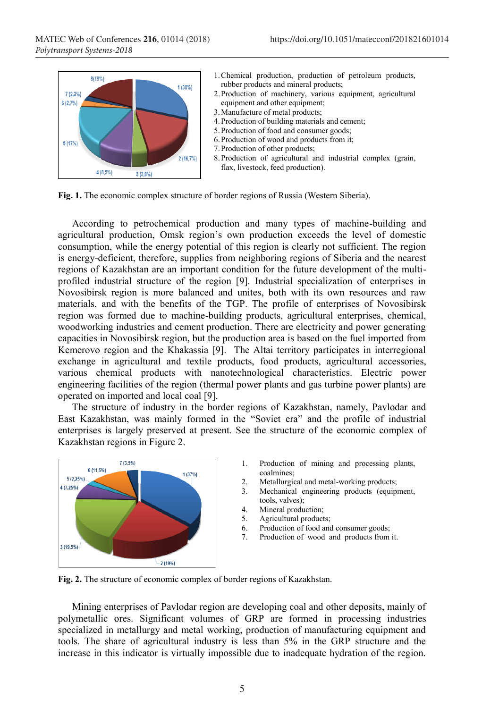

- 1.Chemical production, production of petroleum products, rubber products and mineral products;
- 2.Production of machinery, various equipment, agricultural equipment and other equipment;
- 3.Manufacture of metal products;
- 4.Production of building materials and cement;
- 5.Production of food and consumer goods;
- 6.Production of wood and products from it;
- 7.Production of other products;
- 8.Production of agricultural and industrial complex (grain, flax, livestock, feed production).

**Fig. 1.** The economic complex structure of border regions of Russia (Western Siberia).

According to petrochemical production and many types of machine-building and agricultural production, Omsk region's own production exceeds the level of domestic consumption, while the energy potential of this region is clearly not sufficient. The region is energy-deficient, therefore, supplies from neighboring regions of Siberia and the nearest regions of Kazakhstan are an important condition for the future development of the multiprofiled industrial structure of the region [9]. Industrial specialization of enterprises in Novosibirsk region is more balanced and unites, both with its own resources and raw materials, and with the benefits of the TGP. The profile of enterprises of Novosibirsk region was formed due to machine-building products, agricultural enterprises, chemical, woodworking industries and cement production. There are electricity and power generating capacities in Novosibirsk region, but the production area is based on the fuel imported from Kemerovo region and the Khakassia [9]. The Altai territory participates in interregional exchange in agricultural and textile products, food products, agricultural accessories, various chemical products with nanotechnological characteristics. Electric power engineering facilities of the region (thermal power plants and gas turbine power plants) are operated on imported and local coal [9].

The structure of industry in the border regions of Kazakhstan, namely, Pavlodar and East Kazakhstan, was mainly formed in the "Soviet era" and the profile of industrial enterprises is largely preserved at present. See the structure of the economic complex of Kazakhstan regions in Figure 2.



- 1. Production of mining and processing plants, coalmines;
- 2. Metallurgical and metal-working products;
- 3. Mechanical engineering products (equipment, tools, valves);
- 4. Mineral production;
- 5. Agricultural products;
- 6. Production of food and consumer goods;
- 7. Production of wood and products from it.

**Fig. 2.** The structure of economic complex of border regions of Kazakhstan.

Mining enterprises of Pavlodar region are developing coal and other deposits, mainly of polymetallic ores. Significant volumes of GRP are formed in processing industries specialized in metallurgy and metal working, production of manufacturing equipment and tools. The share of agricultural industry is less than 5% in the GRP structure and the increase in this indicator is virtually impossible due to inadequate hydration of the region.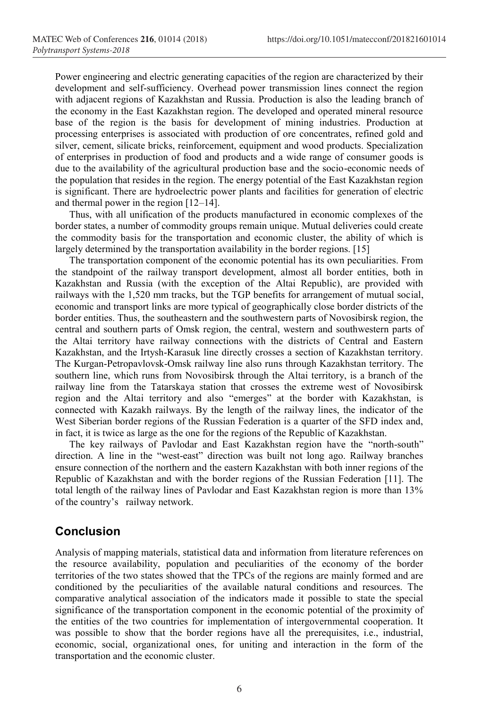Power engineering and electric generating capacities of the region are characterized by their development and self-sufficiency. Overhead power transmission lines connect the region with adjacent regions of Kazakhstan and Russia. Production is also the leading branch of the economy in the East Kazakhstan region. The developed and operated mineral resource base of the region is the basis for development of mining industries. Production at processing enterprises is associated with production of ore concentrates, refined gold and silver, cement, silicate bricks, reinforcement, equipment and wood products. Specialization of enterprises in production of food and products and a wide range of consumer goods is due to the availability of the agricultural production base and the socio-economic needs of the population that resides in the region. The energy potential of the East Kazakhstan region is significant. There are hydroelectric power plants and facilities for generation of electric and thermal power in the region [12–14].

Thus, with all unification of the products manufactured in economic complexes of the border states, a number of commodity groups remain unique. Mutual deliveries could create the commodity basis for the transportation and economic cluster, the ability of which is largely determined by the transportation availability in the border regions. [15]

The transportation component of the economic potential has its own peculiarities. From the standpoint of the railway transport development, almost all border entities, both in Kazakhstan and Russia (with the exception of the Altai Republic), are provided with railways with the 1,520 mm tracks, but the TGP benefits for arrangement of mutual social, economic and transport links are more typical of geographically close border districts of the border entities. Thus, the southeastern and the southwestern parts of Novosibirsk region, the central and southern parts of Omsk region, the central, western and southwestern parts of the Altai territory have railway connections with the districts of Central and Eastern Kazakhstan, and the Irtysh-Karasuk line directly crosses a section of Kazakhstan territory. The Kurgan-Petropavlovsk-Omsk railway line also runs through Kazakhstan territory. The southern line, which runs from Novosibirsk through the Altai territory, is a branch of the railway line from the Tatarskaya station that crosses the extreme west of Novosibirsk region and the Altai territory and also "emerges" at the border with Kazakhstan, is connected with Kazakh railways. By the length of the railway lines, the indicator of the West Siberian border regions of the Russian Federation is a quarter of the SFD index and, in fact, it is twice as large as the one for the regions of the Republic of Kazakhstan.

The key railways of Pavlodar and East Kazakhstan region have the "north-south" direction. A line in the "west-east" direction was built not long ago. Railway branches ensure connection of the northern and the eastern Kazakhstan with both inner regions of the Republic of Kazakhstan and with the border regions of the Russian Federation [11]. The total length of the railway lines of Pavlodar and East Kazakhstan region is more than 13% of the country's railway network.

## **Conclusion**

Analysis of mapping materials, statistical data and information from literature references on the resource availability, population and peculiarities of the economy of the border territories of the two states showed that the TPCs of the regions are mainly formed and are conditioned by the peculiarities of the available natural conditions and resources. The comparative analytical association of the indicators made it possible to state the special significance of the transportation component in the economic potential of the proximity of the entities of the two countries for implementation of intergovernmental cooperation. It was possible to show that the border regions have all the prerequisites, i.e., industrial, economic, social, organizational ones, for uniting and interaction in the form of the transportation and the economic cluster.